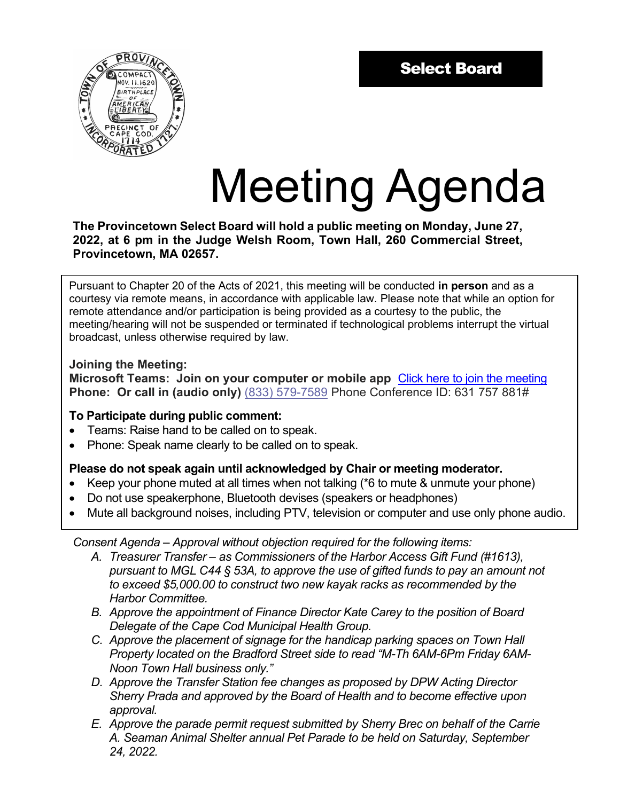

# Meeting Agenda

**The Provincetown Select Board will hold a public meeting on Monday, June 27, 2022, at 6 pm in the Judge Welsh Room, Town Hall, 260 Commercial Street, Provincetown, MA 02657.**

Pursuant to Chapter 20 of the Acts of 2021, this meeting will be conducted **in person** and as a courtesy via remote means, in accordance with applicable law. Please note that while an option for remote attendance and/or participation is being provided as a courtesy to the public, the meeting/hearing will not be suspended or terminated if technological problems interrupt the virtual broadcast, unless otherwise required by law.

# **Joining the Meeting:**

**Microsoft Teams: Join on your computer or mobile app** [Click here to join the meeting](https://teams.microsoft.com/l/meetup-join/19%3ameeting_ZWZmMDUzY2MtZDI1ZS00NDkzLTkwYzEtYWM0Y2ViMjM5Y2Zk%40thread.v2/0?context=%7b%22Tid%22%3a%2230f187df-7305-4983-9525-e34ebdedad6e%22%2c%22Oid%22%3a%225a2fd49f-f5e5-41fc-89ed-51acbb685dad%22%7d)  **Phone: Or call in (audio only)** (833) 579-7589 Phone Conference ID: 631 757 881#

# **To Participate during public comment:**

- Teams: Raise hand to be called on to speak.
- Phone: Speak name clearly to be called on to speak.

# **Please do not speak again until acknowledged by Chair or meeting moderator.**

- Keep your phone muted at all times when not talking (\*6 to mute & unmute your phone)
- Do not use speakerphone, Bluetooth devises (speakers or headphones)
- Mute all background noises, including PTV, television or computer and use only phone audio.

*Consent Agenda – Approval without objection required for the following items:*

- *A. Treasurer Transfer as Commissioners of the Harbor Access Gift Fund (#1613), pursuant to MGL C44 § 53A, to approve the use of gifted funds to pay an amount not to exceed \$5,000.00 to construct two new kayak racks as recommended by the Harbor Committee.*
- *B. Approve the appointment of Finance Director Kate Carey to the position of Board Delegate of the Cape Cod Municipal Health Group.*
- *C. Approve the placement of signage for the handicap parking spaces on Town Hall Property located on the Bradford Street side to read "M-Th 6AM-6Pm Friday 6AM-Noon Town Hall business only."*
- *D. Approve the Transfer Station fee changes as proposed by DPW Acting Director Sherry Prada and approved by the Board of Health and to become effective upon approval.*
- *E. Approve the parade permit request submitted by Sherry Brec on behalf of the Carrie A. Seaman Animal Shelter annual Pet Parade to be held on Saturday, September 24, 2022.*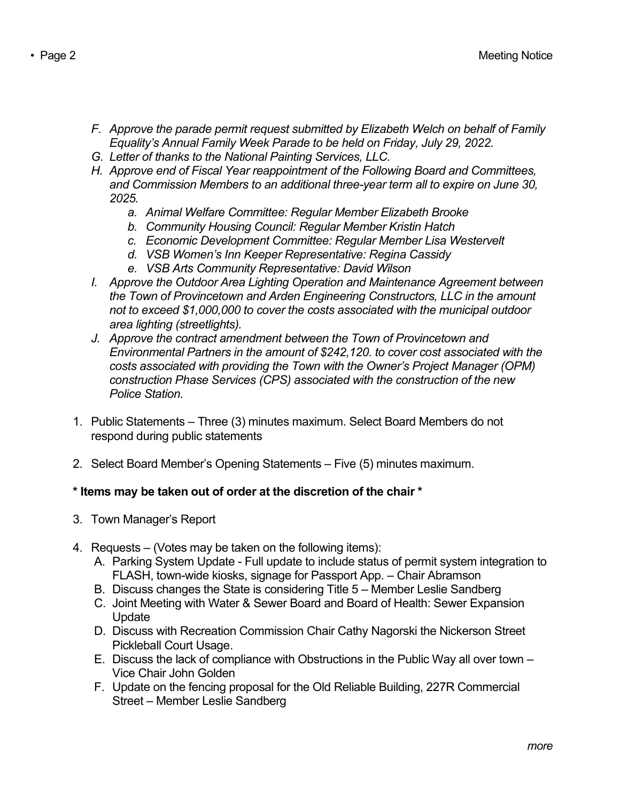- *F. Approve the parade permit request submitted by Elizabeth Welch on behalf of Family Equality's Annual Family Week Parade to be held on Friday, July 29, 2022.*
- *G. Letter of thanks to the National Painting Services, LLC.*
- *H. Approve end of Fiscal Year reappointment of the Following Board and Committees, and Commission Members to an additional three-year term all to expire on June 30, 2025.*
	- *a. Animal Welfare Committee: Regular Member Elizabeth Brooke*
	- *b. Community Housing Council: Regular Member Kristin Hatch*
	- *c. Economic Development Committee: Regular Member Lisa Westervelt*
	- *d. VSB Women's Inn Keeper Representative: Regina Cassidy*
	- *e. VSB Arts Community Representative: David Wilson*
- *I.* Approve the Outdoor Area Lighting Operation and Maintenance Agreement between *the Town of Provincetown and Arden Engineering Constructors, LLC in the amount not to exceed \$1,000,000 to cover the costs associated with the municipal outdoor area lighting (streetlights).*
- *J. Approve the contract amendment between the Town of Provincetown and Environmental Partners in the amount of \$242,120. to cover cost associated with the costs associated with providing the Town with the Owner's Project Manager (OPM) construction Phase Services (CPS) associated with the construction of the new Police Station.*
- 1. Public Statements Three (3) minutes maximum. Select Board Members do not respond during public statements
- 2. Select Board Member's Opening Statements Five (5) minutes maximum.

# **\* Items may be taken out of order at the discretion of the chair \***

- 3. Town Manager's Report
- 4. Requests (Votes may be taken on the following items):
	- A. Parking System Update Full update to include status of permit system integration to FLASH, town-wide kiosks, signage for Passport App. – Chair Abramson
	- B. Discuss changes the State is considering Title 5 Member Leslie Sandberg
	- C. Joint Meeting with Water & Sewer Board and Board of Health: Sewer Expansion Update
	- D. Discuss with Recreation Commission Chair Cathy Nagorski the Nickerson Street Pickleball Court Usage.
	- E. Discuss the lack of compliance with Obstructions in the Public Way all over town Vice Chair John Golden
	- F. Update on the fencing proposal for the Old Reliable Building, 227R Commercial Street – Member Leslie Sandberg